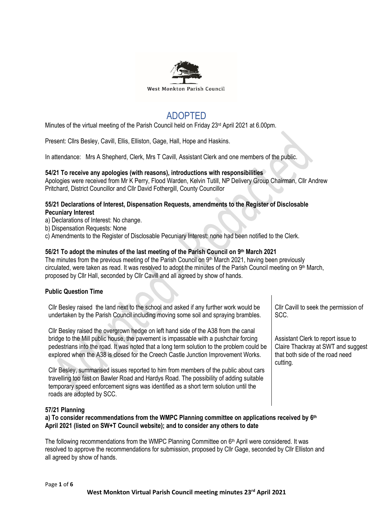

# ADOPTED

Minutes of the virtual meeting of the Parish Council held on Friday 23<sup>rd</sup> April 2021 at 6.00pm.

Present: Cllrs Besley, Cavill, Ellis, Elliston, Gage, Hall, Hope and Haskins.

In attendance: Mrs A Shepherd, Clerk, Mrs T Cavill, Assistant Clerk and one members of the public.

### **54/21 To receive any apologies (with reasons), introductions with responsibilities**

Apologies were received from Mr K Perry, Flood Warden, Kelvin Tutill, NP Delivery Group Chairman, Cllr Andrew Pritchard, District Councillor and Cllr David Fothergill, County Councillor

## **55/21 Declarations of Interest, Dispensation Requests, amendments to the Register of Disclosable Pecuniary Interest**

a) Declarations of Interest: No change.

b) Dispensation Requests: None

c) Amendments to the Register of Disclosable Pecuniary Interest: none had been notified to the Clerk.

# **56/21 To adopt the minutes of the last meeting of the Parish Council on 9 th March 2021**

The minutes from the previous meeting of the Parish Council on 9<sup>th</sup> March 2021, having been previously circulated, were taken as read. It was resolved to adopt the minutes of the Parish Council meeting on 9<sup>th</sup> March, proposed by Cllr Hall, seconded by Cllr Cavill and all agreed by show of hands.

# **Public Question Time**

Cllr Besley raised the land next to the school and asked if any further work would be undertaken by the Parish Council including moving some soil and spraying brambles.

Cllr Besley raised the overgrown hedge on left hand side of the A38 from the canal bridge to the Mill public house, the pavement is impassable with a pushchair forcing pedestrians into the road. It was noted that a long term solution to the problem could be explored when the A38 is closed for the Creech Castle Junction Improvement Works.

Cllr Besley, summarised issues reported to him from members of the public about cars travelling too fast on Bawler Road and Hardys Road. The possibility of adding suitable temporary speed enforcement signs was identified as a short term solution until the roads are adopted by SCC.

Cllr Cavill to seek the permission of SCC.

Assistant Clerk to report issue to Claire Thackray at SWT and suggest that both side of the road need cutting.

# **57/21 Planning**

**a) To consider recommendations from the WMPC Planning committee on applications received by 6 th April 2021 (listed on SW+T Council website); and to consider any others to date**

The following recommendations from the WMPC Planning Committee on 6<sup>th</sup> April were considered. It was resolved to approve the recommendations for submission, proposed by Cllr Gage, seconded by Cllr Elliston and all agreed by show of hands.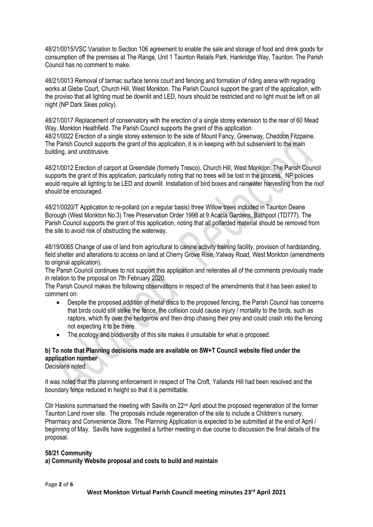48/21/0015/VSC Variation to Section 106 agreement to enable the sale and storage of food and drink goods for consumption off the premises at The Range, Unit 1 Taunton Retails Park, Hankridge Way, Taunton. The Parish Council has no comment to make.

48/21/0013 Removal of tarmac surface tennis court and fencing and formation of riding arena with regrading works at Glebe Court, Church Hill, West Monkton. The Parish Council support the grant of the application, with the proviso that all lighting must be downlit and LED, hours should be restricted and no light must be left on all night (NP Dark Skies policy).

48/21/0017 Replacement of conservatory with the erection of a single storey extension to the rear of 60 Mead Way, Monkton Heathfield. The Parish Council supports the grant of this application. 48/21/0022 Erection of a single storey extension to the side of Mount Fancy, Greenway, Cheddon Fitzpaine. The Parish Council supports the grant of this application, it is in keeping with but subservient to the main building, and unobtrusive.

48/21/0012 Erection of carport at Greendale (formerly Tresco), Church Hill, West Monkton. The Parish Council supports the grant of this application, particularly noting that no trees will be lost in the process. NP policies would require all lighting to be LED and downlit. Installation of bird boxes and rainwater harvesting from the roof should be encouraged.

48/21/0020/T Application to re-pollard (on a regular basis) three Willow trees included in Taunton Deane Borough (West Monkton No.3) Tree Preservation Order 1998 at 9 Acacia Gardens, Bathpool (TD777). The Parish Council supports the grant of this application, noting that all pollarded material should be removed from the site to avoid risk of obstructing the waterway.

48/19/0065 Change of use of land from agricultural to canine activity training facility, provision of hardstanding, field shelter and alterations to access on land at Cherry Grove Rise, Yalway Road, West Monkton (amendments to original application).

The Parish Council continues to not support this application and reiterates all of the comments previously made in relation to the proposal on 7th February 2020.

The Parish Council makes the following observations in respect of the amendments that it has been asked to comment on:

- Despite the proposed addition of metal discs to the proposed fencing, the Parish Council has concerns that birds could still strike the fence, the collision could cause injury / mortality to the birds, such as raptors, which fly over the hedgerow and then drop chasing their prey and could crash into the fencing not expecting it to be there.
- The ecology and biodiversity of this site makes it unsuitable for what is proposed.

# **b) To note that Planning decisions made are available on SW+T Council website filed under the application number**

Decisions noted.

It was noted that the planning enforcement in respect of The Croft, Yallands Hill had been resolved and the boundary fence reduced in height so that it is permittable.

Cllr Haskins summarised the meeting with Savills on 22nd April about the proposed regeneration of the former Taunton Land rover site. The proposals include regeneration of the site to include a Children's nursery, Pharmacy and Convenience Store. The Planning Application is expected to be submitted at the end of April / beginning of May. Savills have suggested a further meeting in due course to discussion the final details of the proposal.

#### **58/21 Community**

**a) Community Website proposal and costs to build and maintain**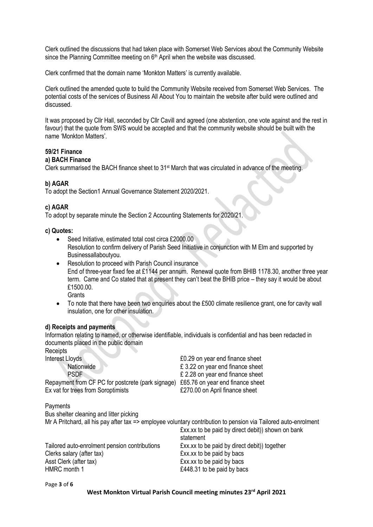Clerk outlined the discussions that had taken place with Somerset Web Services about the Community Website since the Planning Committee meeting on 6<sup>th</sup> April when the website was discussed.

Clerk confirmed that the domain name 'Monkton Matters' is currently available.

Clerk outlined the amended quote to build the Community Website received from Somerset Web Services. The potential costs of the services of Business All About You to maintain the website after build were outlined and discussed.

It was proposed by Cllr Hall, seconded by Cllr Cavill and agreed (one abstention, one vote against and the rest in favour) that the quote from SWS would be accepted and that the community website should be built with the name 'Monkton Matters'.

# **59/21 Finance**

# **a) BACH Finance**

Clerk summarised the BACH finance sheet to 31st March that was circulated in advance of the meeting.

### **b) AGAR**

To adopt the Section1 Annual Governance Statement 2020/2021.

#### **c) AGAR**

To adopt by separate minute the Section 2 Accounting Statements for 2020/21.

#### **c) Quotes:**

- Seed Initiative, estimated total cost circa £2000.00 Resolution to confirm delivery of Parish Seed Initiative in conjunction with M Elm and supported by Businessallaboutyou.
- Resolution to proceed with Parish Council insurance End of three-year fixed fee at £1144 per annum. Renewal quote from BHIB 1178.30, another three year term. Came and Co stated that at present they can't beat the BHIB price – they say it would be about £1500.00. **Grants**
- To note that there have been two enquiries about the £500 climate resilience grant, one for cavity wall insulation, one for other insulation.

#### **d) Receipts and payments**

Information relating to named, or otherwise identifiable, individuals is confidential and has been redacted in documents placed in the public domain

**Receipts** Interest Lloyds<br> **EXECUTE:** EXECUTE:  $\frac{1}{2}$ <br> **EXECUTE:** EXECUTE:  $\frac{1}{2}$ <br> **EXECUTE:**  $\frac{1}{2}$ <br> **EXECUTE:**  $\frac{1}{2}$ <br> **EXECUTE:**  $\frac{1}{2}$ <br> **EXECUTE:**  $\frac{1}{2}$ <br> **EXECUTE:**  $\frac{1}{2}$ <br> **EXECUTE:**  $\frac{1}{2}$ <br> **EXECUTE:** Nationwide<br>
E 3.22 on year end finance sheet<br>
E 2.28 on year end finance sheet<br>
E 2.28 on year end finance sheet  $£$  2.28 on year end finance sheet Repayment from CF PC for postcrete (park signage) £65.76 on year end finance sheet Ex vat for trees from Soroptimists **E270.00** on April finance sheet Payments Bus shelter cleaning and litter picking

Mr A Pritchard, all his pay after tax => employee voluntary contribution to pension via Tailored auto-enrolment £xx.xx to be paid by direct debit)) shown on bank statement Tailored auto-enrolment pension contributions £xx.xx to be paid by direct debit)) together Clerks salary (after tax)<br>
Asst Clerk (after tax)  $\qquad \qquad$  £xx.xx to be paid by bacs<br>  $\qquad$  £xx.xx to be paid by bacs  $Exx.xx$  to be paid by bacs HMRC month 1 **E448.31** to be paid by bacs

Page **3** of **6**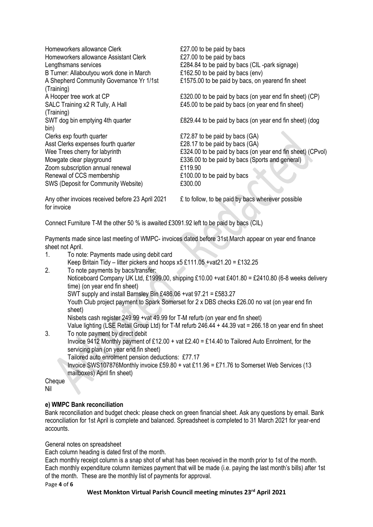| Homeworkers allowance Clerk                                                                            | £27.00 to be paid by bacs                                  |
|--------------------------------------------------------------------------------------------------------|------------------------------------------------------------|
| Homeworkers allowance Assistant Clerk                                                                  | £27.00 to be paid by bacs                                  |
| Lengthsmans services                                                                                   | £284.84 to be paid by bacs (CIL-park signage)              |
| B Turner: Allaboutyou work done in March                                                               | £162.50 to be paid by bacs (env)                           |
| A Shepherd Community Governance Yr 1/1st                                                               | £1575.00 to be paid by bacs, on yearend fin sheet          |
| (Training)<br>A Hooper tree work at CP                                                                 | £320.00 to be paid by bacs (on year end fin sheet) (CP)    |
| SALC Training x2 R Tully, A Hall                                                                       | £45.00 to be paid by bacs (on year end fin sheet)          |
| (Training)                                                                                             |                                                            |
| SWT dog bin emptying 4th quarter                                                                       | £829.44 to be paid by bacs (on year end fin sheet) (dog    |
| bin)                                                                                                   |                                                            |
| Clerks exp fourth quarter                                                                              | £72.87 to be paid by bacs (GA)                             |
| Asst Clerks expenses fourth quarter                                                                    | £28.17 to be paid by bacs (GA)                             |
| Wee Trees cherry for labyrinth                                                                         | £324.00 to be paid by bacs (on year end fin sheet) (CPvol) |
| Mowgate clear playground                                                                               | £336.00 to be paid by bacs (Sports and general)            |
| Zoom subscription annual renewal                                                                       | £119.90                                                    |
| Renewal of CCS membership                                                                              | £100.00 to be paid by bacs                                 |
| SWS (Deposit for Community Website)                                                                    | £300.00                                                    |
| Any other invoices received before 23 April 2021                                                       | £ to follow, to be paid by bacs wherever possible          |
| for invoice                                                                                            |                                                            |
|                                                                                                        |                                                            |
| Connect Furniture T-M the other 50 % is awaited £3091.92 left to be paid by bacs (CIL)                 |                                                            |
|                                                                                                        |                                                            |
| Payments made since last meeting of WMPC- invoices dated before 31st March appear on year end finance  |                                                            |
| sheet not April.                                                                                       |                                                            |
| 1.<br>To note: Payments made using debit card                                                          |                                                            |
| Keep Britain Tidy – litter pickers and hoops $x5 \t111.05 + \text{vat21.20} = \t132.25$                |                                                            |
| 2.<br>To note payments by bacs/transfer:                                                               |                                                            |
| Noticeboard Company UK Ltd, £1999.00, shipping £10.00 +vat £401.80 = £2410.80 (6-8 weeks delivery      |                                                            |
| time) (on year end fin sheet)<br>SWT supply and install Barnsley Bin £486.06 +vat 97.21 = £583.27      |                                                            |
| Youth Club project payment to Spark Somerset for 2 x DBS checks £26.00 no vat (on year end fin         |                                                            |
| sheet)                                                                                                 |                                                            |
| Nisbets cash register 249.99 +vat 49.99 for T-M refurb (on year end fin sheet)                         |                                                            |
| Value lighting (LSE Retail Group Ltd) for T-M refurb 246.44 + 44.39 vat = 266.18 on year end fin sheet |                                                            |
| 3.<br>To note payment by direct debit                                                                  |                                                            |
| Invoice 9412 Monthly payment of £12.00 + vat £2.40 = £14.40 to Tailored Auto Enrolment, for the        |                                                            |
| servicing plan (on year end fin sheet)                                                                 |                                                            |
| Tailored auto enrolment pension deductions: £77.17                                                     |                                                            |
| Invoice SWS107876Monthly invoice £59.80 + vat £11.96 = £71.76 to Somerset Web Services (13             |                                                            |
| mailboxes) April fin sheet)                                                                            |                                                            |
| Cheque                                                                                                 |                                                            |
| Nil                                                                                                    |                                                            |
| e) WMPC Bank reconciliation                                                                            |                                                            |

Bank reconciliation and budget check: please check on green financial sheet. Ask any questions by email. Bank reconciliation for 1st April is complete and balanced. Spreadsheet is completed to 31 March 2021 for year-end accounts.

General notes on spreadsheet

Each column heading is dated first of the month.

Each monthly receipt column is a snap shot of what has been received in the month prior to 1st of the month. Each monthly expenditure column itemizes payment that will be made (i.e. paying the last month's bills) after 1st of the month. These are the monthly list of payments for approval.

Page **4** of **6**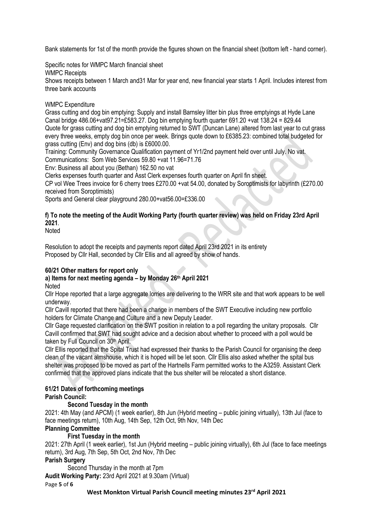Bank statements for 1st of the month provide the figures shown on the financial sheet (bottom left - hand corner).

Specific notes for WMPC March financial sheet

WMPC Receipts

Shows receipts between 1 March and31 Mar for year end, new financial year starts 1 April. Includes interest from three bank accounts

# WMPC Expenditure

Grass cutting and dog bin emptying: Supply and install Barnsley litter bin plus three emptyings at Hyde Lane Canal bridge 486.06+vat97.21=£583.27. Dog bin emptying fourth quarter 691.20 +vat 138.24 = 829.44 Quote for grass cutting and dog bin emptying returned to SWT (Duncan Lane) altered from last year to cut grass every three weeks, empty dog bin once per week. Brings quote down to £6385.23: combined total budgeted for grass cutting (Env) and dog bins (db) is £6000.00.

Training: Community Governance Qualification payment of Yr1/2nd payment held over until July. No vat. Communications: Som Web Services 59.80 +vat 11.96=71.76

Env: Business all about you (Bethan) 162.50 no vat

Clerks expenses fourth quarter and Asst Clerk expenses fourth quarter on April fin sheet.

CP vol Wee Trees invoice for 6 cherry trees £270.00 +vat 54.00, donated by Soroptimists for labyrinth (£270.00 received from Soroptimists)

Sports and General clear playground 280.00+vat56.00=£336.00

# **f) To note the meeting of the Audit Working Party (fourth quarter review) was held on Friday 23rd April 2021**.

Noted

Resolution to adopt the receipts and payments report dated April 23rd 2021 in its entirety Proposed by Cllr Hall, seconded by Cllr Ellis and all agreed by show of hands.

# **60/21 Other matters for report only**

#### **a) Items for next meeting agenda – by Monday 26th April 2021 Noted**

Cllr Hope reported that a large aggregate lorries are delivering to the WRR site and that work appears to be well underway.

Cllr Cavill reported that there had been a change in members of the SWT Executive including new portfolio holders for Climate Change and Culture and a new Deputy Leader.

Cllr Gage requested clarification on the SWT position in relation to a poll regarding the unitary proposals. Cllr Cavill confirmed that SWT had sought advice and a decision about whether to proceed with a poll would be taken by Full Council on 30<sup>th</sup> April.

Cllr Ellis reported that the Spital Trust had expressed their thanks to the Parish Council for organising the deep clean of the vacant almshouse, which it is hoped will be let soon. Cllr Ellis also asked whether the spital bus shelter was proposed to be moved as part of the Hartnells Farm permitted works to the A3259. Assistant Clerk confirmed that the approved plans indicate that the bus shelter will be relocated a short distance.

# **61/21 Dates of forthcoming meetings**

# **Parish Council:**

# **Second Tuesday in the month**

2021: 4th May (and APCM) (1 week earlier), 8th Jun (Hybrid meeting – public joining virtually), 13th Jul (face to face meetings return), 10th Aug, 14th Sep, 12th Oct, 9th Nov, 14th Dec

# **Planning Committee**

# **First Tuesday in the month**

2021: 27th April (1 week earlier), 1st Jun (Hybrid meeting – public joining virtually), 6th Jul (face to face meetings return), 3rd Aug, 7th Sep, 5th Oct, 2nd Nov, 7th Dec

# **Parish Surgery**

Second Thursday in the month at 7pm

**Audit Working Party:** 23rd April 2021 at 9.30am (Virtual)

Page **5** of **6**

**West Monkton Virtual Parish Council meeting minutes 23rd April 2021**